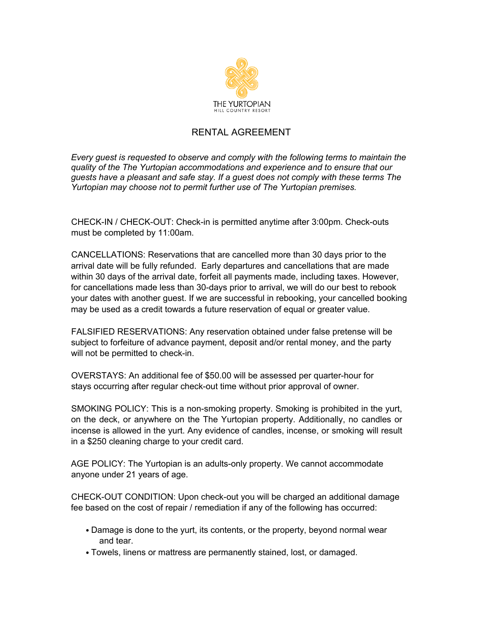

## RENTAL AGREEMENT

*Every guest is requested to observe and comply with the following terms to maintain the quality of the The Yurtopian accommodations and experience and to ensure that our guests have a pleasant and safe stay. If a guest does not comply with these terms The Yurtopian may choose not to permit further use of The Yurtopian premises.*

CHECK-IN / CHECK-OUT: Check-in is permitted anytime after 3:00pm. Check-outs must be completed by 11:00am.

CANCELLATIONS: Reservations that are cancelled more than 30 days prior to the arrival date will be fully refunded. Early departures and cancellations that are made within 30 days of the arrival date, forfeit all payments made, including taxes. However, for cancellations made less than 30-days prior to arrival, we will do our best to rebook your dates with another guest. If we are successful in rebooking, your cancelled booking may be used as a credit towards a future reservation of equal or greater value.

FALSIFIED RESERVATIONS: Any reservation obtained under false pretense will be subject to forfeiture of advance payment, deposit and/or rental money, and the party will not be permitted to check-in.

OVERSTAYS: An additional fee of \$50.00 will be assessed per quarter-hour for stays occurring after regular check-out time without prior approval of owner.

SMOKING POLICY: This is a non-smoking property. Smoking is prohibited in the yurt, on the deck, or anywhere on the The Yurtopian property. Additionally, no candles or incense is allowed in the yurt. Any evidence of candles, incense, or smoking will result in a \$250 cleaning charge to your credit card.

AGE POLICY: The Yurtopian is an adults-only property. We cannot accommodate anyone under 21 years of age.

CHECK-OUT CONDITION: Upon check-out you will be charged an additional damage fee based on the cost of repair / remediation if any of the following has occurred:

- Damage is done to the yurt, its contents, or the property, beyond normal wear and tear.
- Towels, linens or mattress are permanently stained, lost, or damaged.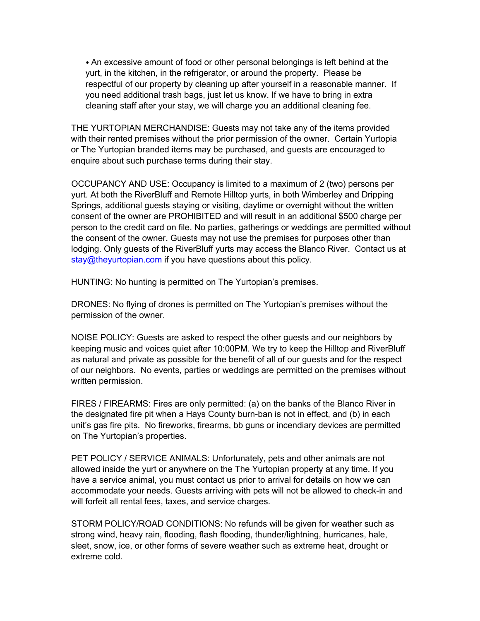• An excessive amount of food or other personal belongings is left behind at the yurt, in the kitchen, in the refrigerator, or around the property. Please be respectful of our property by cleaning up after yourself in a reasonable manner. If you need additional trash bags, just let us know. If we have to bring in extra cleaning staff after your stay, we will charge you an additional cleaning fee.

THE YURTOPIAN MERCHANDISE: Guests may not take any of the items provided with their rented premises without the prior permission of the owner. Certain Yurtopia or The Yurtopian branded items may be purchased, and guests are encouraged to enquire about such purchase terms during their stay.

OCCUPANCY AND USE: Occupancy is limited to a maximum of 2 (two) persons per yurt. At both the RiverBluff and Remote Hilltop yurts, in both Wimberley and Dripping Springs, additional guests staying or visiting, daytime or overnight without the written consent of the owner are PROHIBITED and will result in an additional \$500 charge per person to the credit card on file. No parties, gatherings or weddings are permitted without the consent of the owner. Guests may not use the premises for purposes other than lodging. Only guests of the RiverBluff yurts may access the Blanco River. Contact us at stay@theyurtopian.com if you have questions about this policy.

HUNTING: No hunting is permitted on The Yurtopian's premises.

DRONES: No flying of drones is permitted on The Yurtopian's premises without the permission of the owner.

NOISE POLICY: Guests are asked to respect the other guests and our neighbors by keeping music and voices quiet after 10:00PM. We try to keep the Hilltop and RiverBluff as natural and private as possible for the benefit of all of our guests and for the respect of our neighbors. No events, parties or weddings are permitted on the premises without written permission.

FIRES / FIREARMS: Fires are only permitted: (a) on the banks of the Blanco River in the designated fire pit when a Hays County burn-ban is not in effect, and (b) in each unit's gas fire pits. No fireworks, firearms, bb guns or incendiary devices are permitted on The Yurtopian's properties.

PET POLICY / SERVICE ANIMALS: Unfortunately, pets and other animals are not allowed inside the yurt or anywhere on the The Yurtopian property at any time. If you have a service animal, you must contact us prior to arrival for details on how we can accommodate your needs. Guests arriving with pets will not be allowed to check-in and will forfeit all rental fees, taxes, and service charges.

STORM POLICY/ROAD CONDITIONS: No refunds will be given for weather such as strong wind, heavy rain, flooding, flash flooding, thunder/lightning, hurricanes, hale, sleet, snow, ice, or other forms of severe weather such as extreme heat, drought or extreme cold.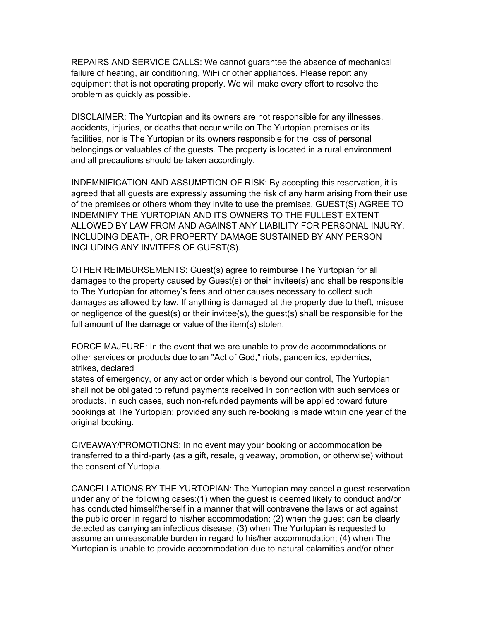REPAIRS AND SERVICE CALLS: We cannot guarantee the absence of mechanical failure of heating, air conditioning, WiFi or other appliances. Please report any equipment that is not operating properly. We will make every effort to resolve the problem as quickly as possible.

DISCLAIMER: The Yurtopian and its owners are not responsible for any illnesses, accidents, injuries, or deaths that occur while on The Yurtopian premises or its facilities, nor is The Yurtopian or its owners responsible for the loss of personal belongings or valuables of the guests. The property is located in a rural environment and all precautions should be taken accordingly.

INDEMNIFICATION AND ASSUMPTION OF RISK: By accepting this reservation, it is agreed that all guests are expressly assuming the risk of any harm arising from their use of the premises or others whom they invite to use the premises. GUEST(S) AGREE TO INDEMNIFY THE YURTOPIAN AND ITS OWNERS TO THE FULLEST EXTENT ALLOWED BY LAW FROM AND AGAINST ANY LIABILITY FOR PERSONAL INJURY, INCLUDING DEATH, OR PROPERTY DAMAGE SUSTAINED BY ANY PERSON INCLUDING ANY INVITEES OF GUEST(S).

OTHER REIMBURSEMENTS: Guest(s) agree to reimburse The Yurtopian for all damages to the property caused by Guest(s) or their invitee(s) and shall be responsible to The Yurtopian for attorney's fees and other causes necessary to collect such damages as allowed by law. If anything is damaged at the property due to theft, misuse or negligence of the guest(s) or their invitee(s), the guest(s) shall be responsible for the full amount of the damage or value of the item(s) stolen.

FORCE MAJEURE: In the event that we are unable to provide accommodations or other services or products due to an "Act of God," riots, pandemics, epidemics, strikes, declared

states of emergency, or any act or order which is beyond our control, The Yurtopian shall not be obligated to refund payments received in connection with such services or products. In such cases, such non-refunded payments will be applied toward future bookings at The Yurtopian; provided any such re-booking is made within one year of the original booking.

GIVEAWAY/PROMOTIONS: In no event may your booking or accommodation be transferred to a third-party (as a gift, resale, giveaway, promotion, or otherwise) without the consent of Yurtopia.

CANCELLATIONS BY THE YURTOPIAN: The Yurtopian may cancel a guest reservation under any of the following cases:(1) when the guest is deemed likely to conduct and/or has conducted himself/herself in a manner that will contravene the laws or act against the public order in regard to his/her accommodation; (2) when the guest can be clearly detected as carrying an infectious disease; (3) when The Yurtopian is requested to assume an unreasonable burden in regard to his/her accommodation; (4) when The Yurtopian is unable to provide accommodation due to natural calamities and/or other